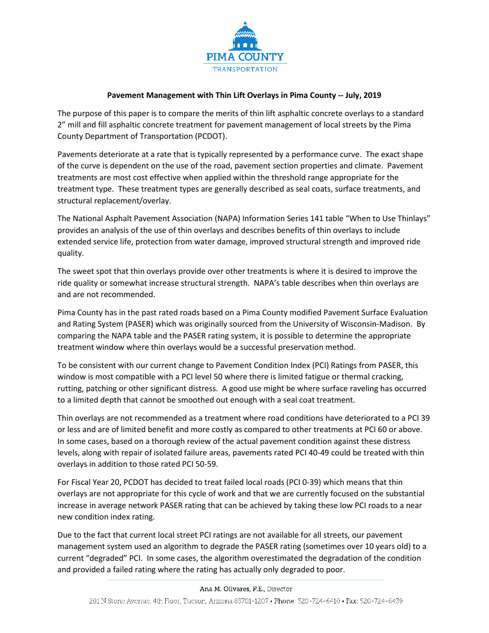

## **Pavement Management with Thin Lift Overlays in Pima County -- July, 2019**

The purpose of this paper is to compare the merits of thin lift asphaltic concrete overlays to a standard 2" mill and fill asphaltic concrete treatment for pavement management of local streets by the Pima County Department of Transportation (PCDOT).

Pavements deteriorate at a rate that is typically represented by a performance curve. The exact shape of the curve is dependent on the use of the road, pavement section properties and climate. Pavement treatments are most cost effective when applied within the threshold range appropriate for the treatment type. These treatment types are generally described as seal coats, surface treatments, and structural replacement/overlay.

The National Asphalt Pavement Association (NAPA) Information Series 141 table "When to Use Thinlays" provides an analysis of the use of thin overlays and describes benefits of thin overlays to include extended service life, protection from water damage, improved structural strength and improved ride quality.

The sweet spot that thin overlays provide over other treatments is where it is desired to improve the ride quality or somewhat increase structural strength. NAPA's table describes when thin overlays are and are not recommended.

Pima County has in the past rated roads based on a Pima County modified Pavement Surface Evaluation and Rating System (PASER) which was originally sourced from the University of Wisconsin-Madison. By comparing the NAPA table and the PASER rating system, it is possible to determine the appropriate treatment window where thin overlays would be a successful preservation method.

To be consistent with our current change to Pavement Condition Index (PCI) Ratings from PASER, this window is most compatible with a PCI level 50 where there is limited fatigue or thermal cracking, rutting, patching or other significant distress. A good use might be where surface raveling has occurred to a limited depth that cannot be smoothed out enough with a seal coat treatment.

Thin overlays are not recommended as a treatment where road conditions have deteriorated to a PCI 39 or less and are of limited benefit and more costly as compared to other treatments at PCI 60 or above. In some cases, based on a thorough review of the actual pavement condition against these distress levels, along with repair of isolated failure areas, pavements rated PCI 40-49 could be treated with thin overlays in addition to those rated PCI 50-59.

For Fiscal Year 20, PCDOT has decided to treat failed local roads (PCI 0-39) which means that thin overlays are not appropriate for this cycle of work and that we are currently focused on the substantial increase in average network PASER rating that can be achieved by taking these low PCI roads to a near new condition index rating.

Due to the fact that current local street PCI ratings are not available for all streets, our pavement management system used an algorithm to degrade the PASER rating (sometimes over 10 years old) to a current "degraded" PCI. In some cases, the algorithm overestimated the degradation of the condition and provided a failed rating where the rating has actually only degraded to poor.

## Ana M. Olivares, P.E., Director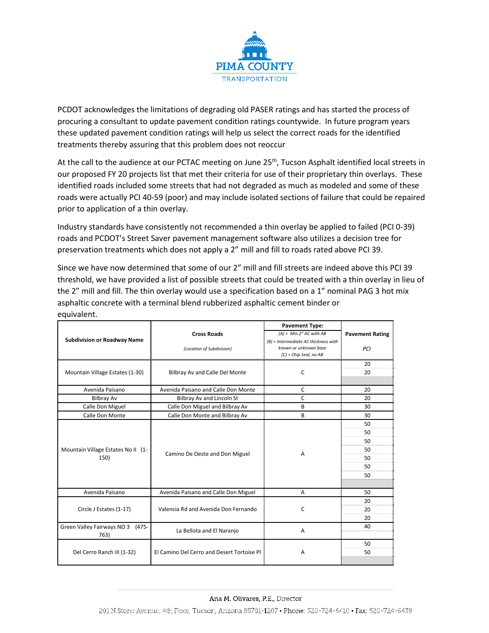

PCDOT acknowledges the limitations of degrading old PASER ratings and has started the process of procuring a consultant to update pavement condition ratings countywide. In future program years these updated pavement condition ratings will help us select the correct roads for the identified treatments thereby assuring that this problem does not reoccur

At the call to the audience at our PCTAC meeting on June 25<sup>th</sup>, Tucson Asphalt identified local streets in our proposed FY 20 projects list that met their criteria for use of their proprietary thin overlays. These identified roads included some streets that had not degraded as much as modeled and some of these roads were actually PCI 40-59 (poor) and may include isolated sections of failure that could be repaired prior to application of a thin overlay.

Industry standards have consistently not recommended a thin overlay be applied to failed (PCI 0-39) roads and PCDOT's Street Saver pavement management software also utilizes a decision tree for preservation treatments which does not apply a 2" mill and fill to roads rated above PCI 39.

Since we have now determined that some of our 2" mill and fill streets are indeed above this PCI 39 threshold, we have provided a list of possible streets that could be treated with a thin overlay in lieu of the 2" mill and fill. The thin overlay would use a specification based on a 1" nominal PAG 3 hot mix asphaltic concrete with a terminal blend rubberized asphaltic cement binder or equivalent.

|                                             |                                            | <b>Pavement Type:</b>                                                                     |                        |  |
|---------------------------------------------|--------------------------------------------|-------------------------------------------------------------------------------------------|------------------------|--|
|                                             | <b>Cross Roads</b>                         | $(A)$ = Min 2" AC with AB                                                                 | <b>Pavement Rating</b> |  |
| <b>Subdivision or Roadway Name</b>          | (Location of Subdivision)                  | (B) = Intermediate AC thickness with<br>known or unknown base<br>$(C)$ = Chip Seal, no AB | PCI                    |  |
| Mountain Village Estates (1-30)             |                                            |                                                                                           | 20                     |  |
|                                             | Bilbray Av and Calle Del Monte             | $\mathsf C$                                                                               | 20                     |  |
| Avenida Paisano                             | Avenida Paisano and Calle Don Monte<br>C   |                                                                                           | 20                     |  |
| <b>Bilbray Av</b>                           | Bilbray Av and Lincoln St                  | C                                                                                         | 20                     |  |
| Calle Don Miguel                            | Calle Don Miguel and Bilbray Av            | В                                                                                         | 30                     |  |
| Calle Don Monte                             | Calle Don Monte and Bilbray Av             | B                                                                                         | 30                     |  |
| Mountain Village Estates No II (1-<br>150)  | Camino De Oeste and Don Miguel             | A                                                                                         | 50                     |  |
|                                             |                                            |                                                                                           | 50                     |  |
|                                             |                                            |                                                                                           | 50                     |  |
|                                             |                                            |                                                                                           | 50                     |  |
|                                             |                                            |                                                                                           | 50                     |  |
|                                             |                                            |                                                                                           | 50                     |  |
|                                             |                                            |                                                                                           | 50                     |  |
| Avenida Paisano                             | Avenida Paisano and Calle Don Miguel       | Α                                                                                         | 50                     |  |
| Circle J Estates (1-17)                     | Valencia Rd and Avenida Don Fernando       | C                                                                                         | 20                     |  |
|                                             |                                            |                                                                                           | 20                     |  |
|                                             |                                            |                                                                                           | 20                     |  |
| Green Valley Fairways NO 3<br>(475-<br>763) | La Bellota and El Naranjo                  | А                                                                                         | 40                     |  |
|                                             |                                            |                                                                                           | 50                     |  |
| Del Cerro Ranch III (1-32)                  | El Camino Del Cerro and Desert Tortoise Pl | Α                                                                                         | 50                     |  |

## Ana M. Olivares, P.E., Director

201 N.Stone Avenue, 4th Floor, Tueson, Arizona 85701-1207 • Phone: 520-724-6410 • Fax: 520-724-6439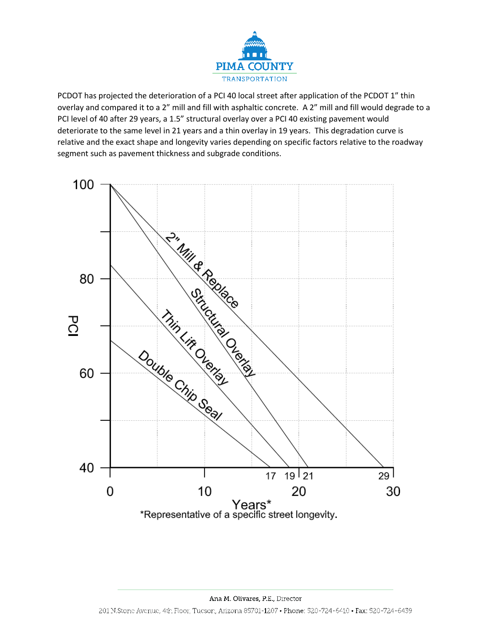

PCDOT has projected the deterioration of a PCI 40 local street after application of the PCDOT 1" thin overlay and compared it to a 2" mill and fill with asphaltic concrete. A 2" mill and fill would degrade to a PCI level of 40 after 29 years, a 1.5" structural overlay over a PCI 40 existing pavement would deteriorate to the same level in 21 years and a thin overlay in 19 years. This degradation curve is relative and the exact shape and longevity varies depending on specific factors relative to the roadway segment such as pavement thickness and subgrade conditions.

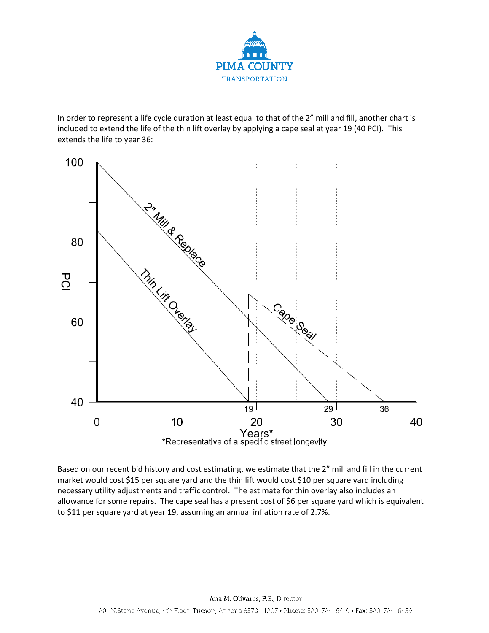

In order to represent a life cycle duration at least equal to that of the 2" mill and fill, another chart is included to extend the life of the thin lift overlay by applying a cape seal at year 19 (40 PCI). This extends the life to year 36:



Based on our recent bid history and cost estimating, we estimate that the 2" mill and fill in the current market would cost \$15 per square yard and the thin lift would cost \$10 per square yard including necessary utility adjustments and traffic control. The estimate for thin overlay also includes an allowance for some repairs. The cape seal has a present cost of \$6 per square yard which is equivalent to \$11 per square yard at year 19, assuming an annual inflation rate of 2.7%.